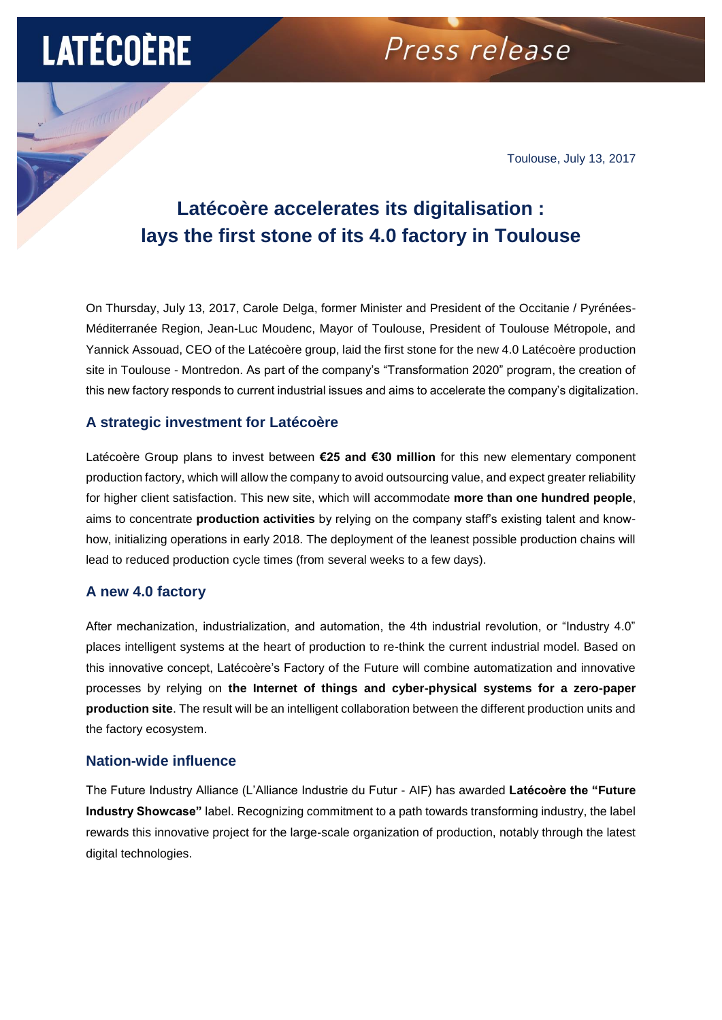## **LATÉCOÈRE**

### Press release

Toulouse, July 13, 2017

### **Latécoère accelerates its digitalisation : lays the first stone of its 4.0 factory in Toulouse**

On Thursday, July 13, 2017, Carole Delga, former Minister and President of the Occitanie / Pyrénées-Méditerranée Region, Jean-Luc Moudenc, Mayor of Toulouse, President of Toulouse Métropole, and Yannick Assouad, CEO of the Latécoère group, laid the first stone for the new 4.0 Latécoère production site in Toulouse - Montredon. As part of the company's "Transformation 2020" program, the creation of this new factory responds to current industrial issues and aims to accelerate the company's digitalization.

#### **A strategic investment for Latécoère**

Latécoère Group plans to invest between **€25 and €30 million** for this new elementary component production factory, which will allow the company to avoid outsourcing value, and expect greater reliability for higher client satisfaction. This new site, which will accommodate **more than one hundred people**, aims to concentrate **production activities** by relying on the company staff's existing talent and knowhow, initializing operations in early 2018. The deployment of the leanest possible production chains will lead to reduced production cycle times (from several weeks to a few days).

#### **A new 4.0 factory**

After mechanization, industrialization, and automation, the 4th industrial revolution, or "Industry 4.0" places intelligent systems at the heart of production to re-think the current industrial model. Based on this innovative concept, Latécoère's Factory of the Future will combine automatization and innovative processes by relying on **the Internet of things and cyber-physical systems for a zero-paper production site**. The result will be an intelligent collaboration between the different production units and the factory ecosystem.

#### **Nation-wide influence**

The Future Industry Alliance (L'Alliance Industrie du Futur - AIF) has awarded **Latécoère the "Future Industry Showcase"** label. Recognizing commitment to a path towards transforming industry, the label rewards this innovative project for the large-scale organization of production, notably through the latest digital technologies.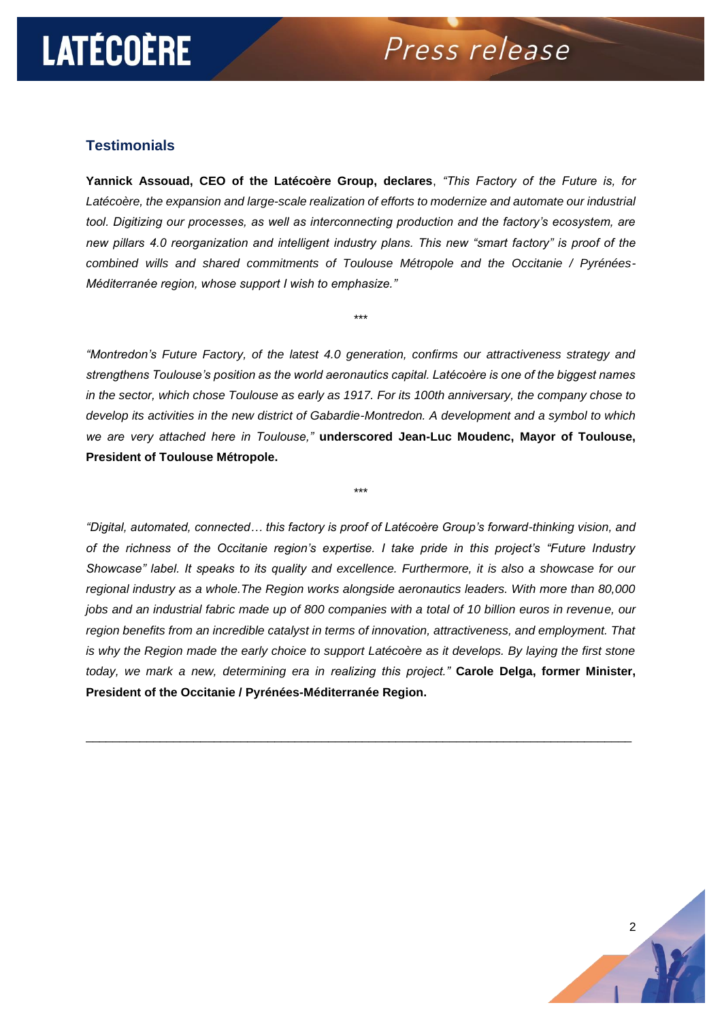# **LATÉCOÈRE**

Press release

#### **Testimonials**

**Yannick Assouad, CEO of the Latécoère Group, declares**, *"This Factory of the Future is, for Latécoère, the expansion and large-scale realization of efforts to modernize and automate our industrial tool. Digitizing our processes, as well as interconnecting production and the factory's ecosystem, are new pillars 4.0 reorganization and intelligent industry plans. This new "smart factory" is proof of the combined wills and shared commitments of Toulouse Métropole and the Occitanie / Pyrénées-Méditerranée region, whose support I wish to emphasize."*

\*\*\*

*"Montredon's Future Factory, of the latest 4.0 generation, confirms our attractiveness strategy and strengthens Toulouse's position as the world aeronautics capital. Latécoère is one of the biggest names in the sector, which chose Toulouse as early as 1917. For its 100th anniversary, the company chose to develop its activities in the new district of Gabardie-Montredon. A development and a symbol to which we are very attached here in Toulouse,"* **underscored Jean-Luc Moudenc, Mayor of Toulouse, President of Toulouse Métropole.**

\*\*\*

*"Digital, automated, connected… this factory is proof of Latécoère Group's forward-thinking vision, and of the richness of the Occitanie region's expertise. I take pride in this project's "Future Industry Showcase" label. It speaks to its quality and excellence. Furthermore, it is also a showcase for our regional industry as a whole.The Region works alongside aeronautics leaders. With more than 80,000 jobs and an industrial fabric made up of 800 companies with a total of 10 billion euros in revenue, our region benefits from an incredible catalyst in terms of innovation, attractiveness, and employment. That is why the Region made the early choice to support Latécoère as it develops. By laying the first stone today, we mark a new, determining era in realizing this project."* **Carole Delga, former Minister, President of the Occitanie / Pyrénées-Méditerranée Region.**

\_\_\_\_\_\_\_\_\_\_\_\_\_\_\_\_\_\_\_\_\_\_\_\_\_\_\_\_\_\_\_\_\_\_\_\_\_\_\_\_\_\_\_\_\_\_\_\_\_\_\_\_\_\_\_\_\_\_\_\_\_\_\_\_\_\_\_\_\_\_\_\_\_\_\_\_\_\_\_\_\_